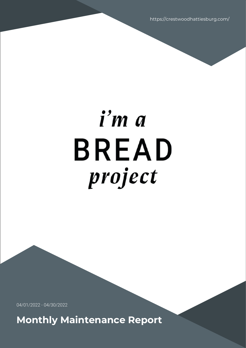https://crestwoodhattiesburg.com/

# i'm a **BREAD** project

04/01/2022 - 04/30/2022

**Monthly Maintenance Report**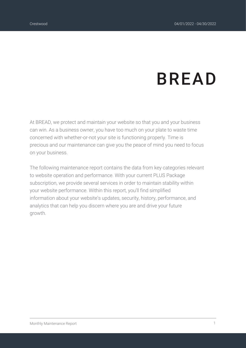## **BREAD**

At BREAD, we protect and maintain your website so that you and your business can win. As a business owner, you have too much on your plate to waste time concerned with whether-or-not your site is functioning properly. Time is precious and our maintenance can give you the peace of mind you need to focus on your business.

The following maintenance report contains the data from key categories relevant to website operation and performance. With your current PLUS Package subscription, we provide several services in order to maintain stability within your website performance. Within this report, you'll find simplified information about your website's updates, security, history, performance, and analytics that can help you discern where you are and drive your future growth.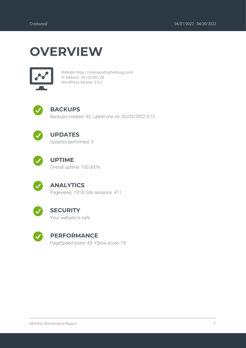### **OVERVIEW**



Website: https://crestwoodhattiesburg.com/ IP Address: 34.105.30.128 WordPress Version: 5.9.2



### **BACKUPS**

Backups created: 93; Latest one on: 05/03/2022 9:15



### **UPDATES**

Updates performed: 5



### **UPTIME**

Overall uptime: 100.000%



### **ANALYTICS**

Pageviews: 1314; Site sessions: 411



#### **SECURITY**

Your website is safe



#### **PERFORMANCE**

PageSpeed score: 43; YSlow score: 79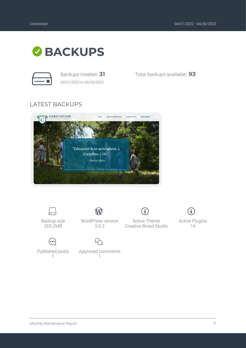

*04/01/2022 to 04/30/2022*

Backups created: **31** Total backups available: **93**

### LATEST BACKUPS





Backup size 265.2MB



Active Theme Creative Bread Studio



Active Plugins 14

Published posts 1

 $\odot$ 

Approved comments 1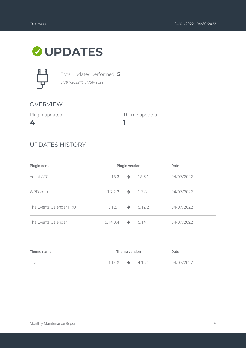### **UPDATES**



Total updates performed: **5** *04/01/2022 to 04/30/2022*

### OVERVIEW

Plugin updates

**4**

Theme updates

### UPDATES HISTORY

| Plugin name             | Plugin version              |               | Date                      |            |
|-------------------------|-----------------------------|---------------|---------------------------|------------|
| Yoast SEO               |                             |               | 18.3 $\rightarrow$ 18.5.1 | 04/07/2022 |
| <b>WPForms</b>          | $1.7.2.2 \rightarrow 1.7.3$ |               |                           | 04/07/2022 |
| The Events Calendar PRO | 5.12.1                      |               | $\rightarrow 5.12.2$      | 04/07/2022 |
| The Events Calendar     | 5.14.0.4                    | $\rightarrow$ | 5.14.1                    | 04/07/2022 |

**1**

| Theme name | Theme version               |  | Date |            |
|------------|-----------------------------|--|------|------------|
| Divi       | $4.14.8 \rightarrow 4.16.1$ |  |      | 04/07/2022 |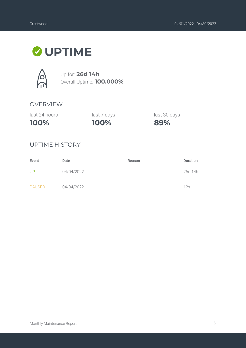### **UPTIME**



Up for: **26d 14h** Overall Uptime: **100.000%**

### OVERVIEW

| 100%          | 10  |
|---------------|-----|
| last 24 hours | las |

**100%** st 7 days last 30 days

**89%**

### UPTIME HISTORY

| Event         | Date       | Reason                          | <b>Duration</b> |
|---------------|------------|---------------------------------|-----------------|
| UP            | 04/04/2022 | $\hspace{0.1mm}-\hspace{0.1mm}$ | 26d 14h         |
| <b>PAUSED</b> | 04/04/2022 | $\hspace{0.1mm}-\hspace{0.1mm}$ | 12s             |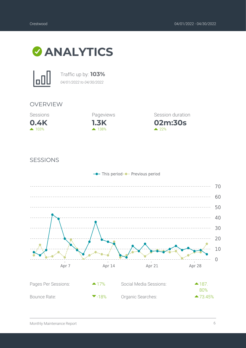



Traffic up by: **103%** *04/01/2022 to 04/30/2022*

### OVERVIEW





**02m:30s** Session duration  $22%$ 

#### SESSIONS

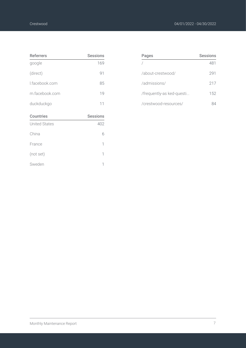| <b>Referrers</b>     | <b>Sessions</b> |
|----------------------|-----------------|
| google               | 169             |
| (direct)             | 91              |
| l.facebook.com       | 85              |
| m.facebook.com       | 19              |
| duckduckgo           | 11              |
| <b>Countries</b>     |                 |
|                      | <b>Sessions</b> |
| <b>United States</b> | 402             |
| China                | 6               |
| France               | 1               |
| (not set)            | 1               |
| Sweden               | 1               |

| Pages                     | Sessions |
|---------------------------|----------|
|                           | 481      |
| /about-crestwood/         | 291      |
| /admissions/              | 217      |
| /frequently-as ked-questi | 152      |
| /crestwood-resources/     |          |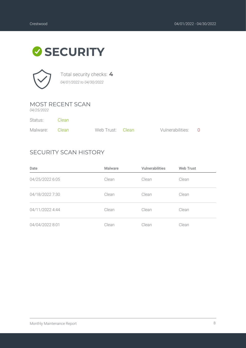### **SECURITY**



Total security checks: **4** *04/01/2022 to 04/30/2022*

### MOST RECENT SCAN

*04/25/2022*

| Status:        | - Clean |                  |                    |  |
|----------------|---------|------------------|--------------------|--|
| Malware: Clean |         | Web Trust: Clean | Vulnerabilities: 0 |  |

### SECURITY SCAN HISTORY

| Date            | Malware | <b>Vulnerabilities</b> | <b>Web Trust</b> |
|-----------------|---------|------------------------|------------------|
| 04/25/2022 6:05 | Clean   | Clean                  | Clean            |
| 04/18/2022 7:30 | Clean   | Clean                  | Clean            |
| 04/11/2022 4:44 | Clean   | Clean                  | Clean            |
| 04/04/2022 8:01 | Clean   | Clean                  | Clean            |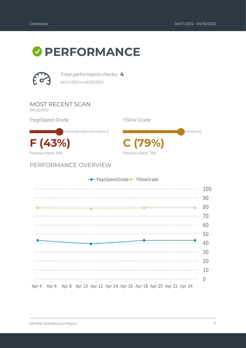### **PERFORMANCE**



Total performance checks: **4** *04/01/2022 to 04/30/2022*

MOST RECENT SCAN

*04/25/2022*

PageSpeed Grade



PERFORMANCE OVERVIEW





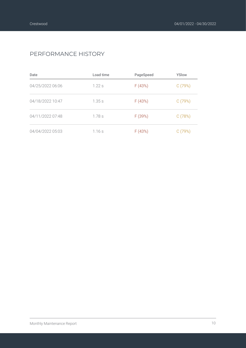### PERFORMANCE HISTORY

| Date             | Load time | PageSpeed | YSlow  |
|------------------|-----------|-----------|--------|
| 04/25/2022 06:06 | $1.22$ s  | F(43%)    | C(79%) |
| 04/18/2022 10:47 | 1.35s     | F(43%)    | C(79%) |
| 04/11/2022 07:48 | 1.78s     | F (39%)   | C(78%) |
| 04/04/2022 05:03 | 1.16s     | F(43%)    | C(79%) |